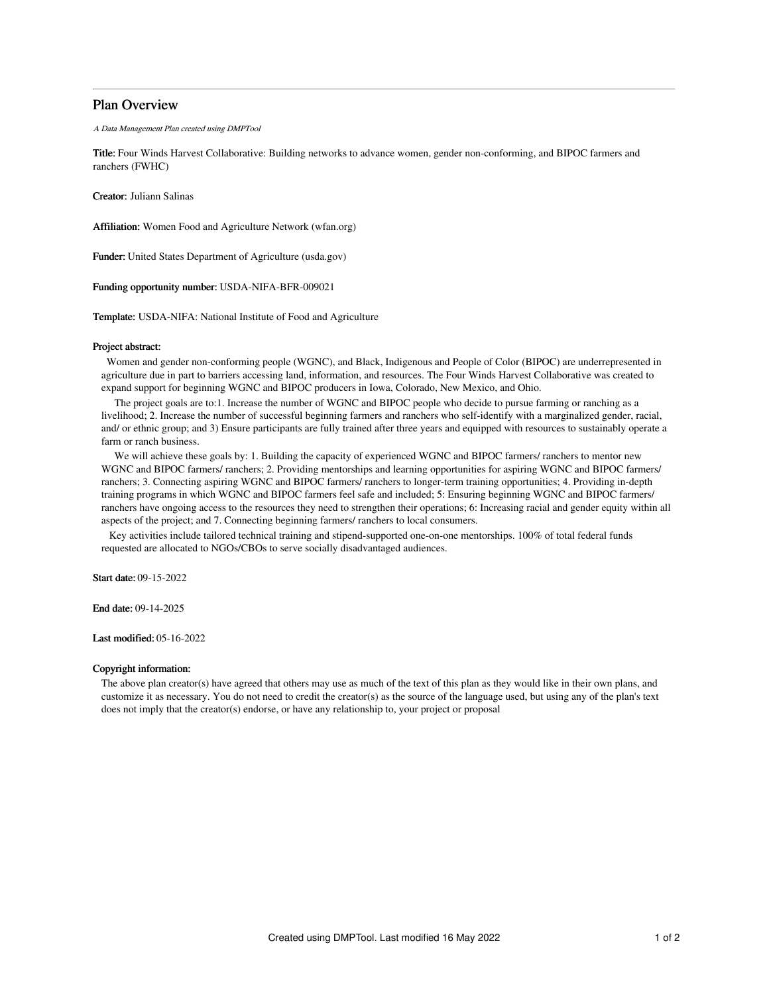# Plan Overview

A Data Management Plan created using DMPTool

Title: Four Winds Harvest Collaborative: Building networks to advance women, gender non-conforming, and BIPOC farmers and ranchers (FWHC)

Creator: Juliann Salinas

Affiliation: Women Food and Agriculture Network (wfan.org)

Funder: United States Department of Agriculture (usda.gov)

Funding opportunity number: USDA-NIFA-BFR-009021

Template: USDA-NIFA: National Institute of Food and Agriculture

### Project abstract:

Women and gender non-conforming people (WGNC), and Black, Indigenous and People of Color (BIPOC) are underrepresented in agriculture due in part to barriers accessing land, information, and resources. The Four Winds Harvest Collaborative was created to expand support for beginning WGNC and BIPOC producers in Iowa, Colorado, New Mexico, and Ohio.

The project goals are to:1. Increase the number of WGNC and BIPOC people who decide to pursue farming or ranching as a livelihood; 2. Increase the number of successful beginning farmers and ranchers who self-identify with a marginalized gender, racial, and/ or ethnic group; and 3) Ensure participants are fully trained after three years and equipped with resources to sustainably operate a farm or ranch business.

We will achieve these goals by: 1. Building the capacity of experienced WGNC and BIPOC farmers/ ranchers to mentor new WGNC and BIPOC farmers/ ranchers; 2. Providing mentorships and learning opportunities for aspiring WGNC and BIPOC farmers/ ranchers; 3. Connecting aspiring WGNC and BIPOC farmers/ ranchers to longer-term training opportunities; 4. Providing in-depth training programs in which WGNC and BIPOC farmers feel safe and included; 5: Ensuring beginning WGNC and BIPOC farmers/ ranchers have ongoing access to the resources they need to strengthen their operations; 6: Increasing racial and gender equity within all aspects of the project; and 7. Connecting beginning farmers/ ranchers to local consumers.

Key activities include tailored technical training and stipend-supported one-on-one mentorships. 100% of total federal funds requested are allocated to NGOs/CBOs to serve socially disadvantaged audiences.

Start date: 09-15-2022

End date: 09-14-2025

Last modified: 05-16-2022

## Copyright information:

The above plan creator(s) have agreed that others may use as much of the text of this plan as they would like in their own plans, and customize it as necessary. You do not need to credit the creator(s) as the source of the language used, but using any of the plan's text does not imply that the creator(s) endorse, or have any relationship to, your project or proposal